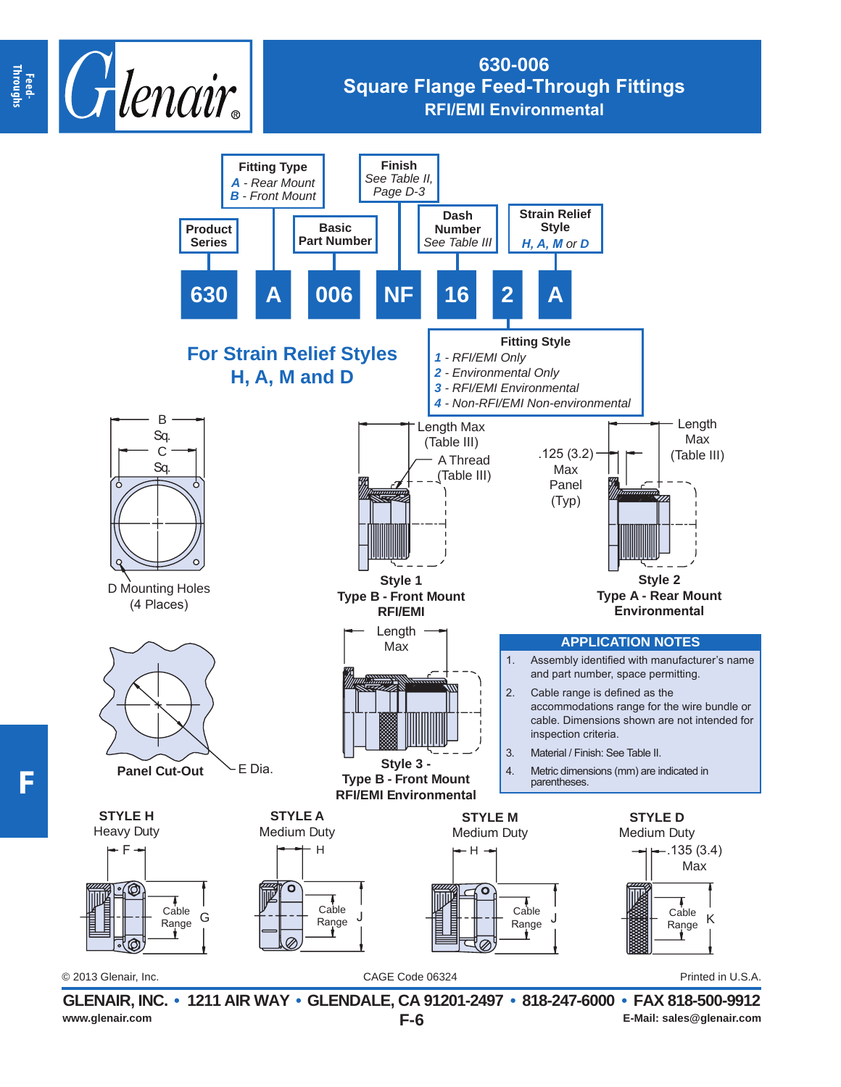

## **630-006 Square Flange Feed-Through Fittings RFI/EMI Environmental**



**F-6 GLENAIR, INC. • 1211 AIR WAY • GLENDALE, CA 91201-2497 • 818-247-6000 • FAX 818-500-9912** www.glenair.com **E-Mail: sales@glenair.com E-G E-Mail: sales@glenair.com**